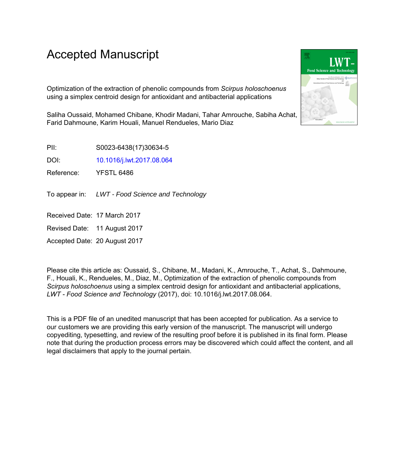# Accepted Manuscript

Optimization of the extraction of phenolic compounds from *Scirpus holoschoenus* using a simplex centroid design for antioxidant and antibacterial applications

Saliha Oussaid, Mohamed Chibane, Khodir Madani, Tahar Amrouche, Sabiha Achat, Farid Dahmoune, Karim Houali, Manuel Rendueles, Mario Diaz

PII: S0023-6438(17)30634-5

DOI: [10.1016/j.lwt.2017.08.064](http://dx.doi.org/10.1016/j.lwt.2017.08.064)

Reference: YFSTL 6486

To appear in: LWT - Food Science and Technology

Received Date: 17 March 2017

Revised Date: 11 August 2017

Accepted Date: 20 August 2017

Please cite this article as: Oussaid, S., Chibane, M., Madani, K., Amrouche, T., Achat, S., Dahmoune, F., Houali, K., Rendueles, M., Diaz, M., Optimization of the extraction of phenolic compounds from *Scirpus holoschoenus* using a simplex centroid design for antioxidant and antibacterial applications, *LWT - Food Science and Technology* (2017), doi: 10.1016/j.lwt.2017.08.064.

This is a PDF file of an unedited manuscript that has been accepted for publication. As a service to our customers we are providing this early version of the manuscript. The manuscript will undergo copyediting, typesetting, and review of the resulting proof before it is published in its final form. Please note that during the production process errors may be discovered which could affect the content, and all legal disclaimers that apply to the journal pertain.

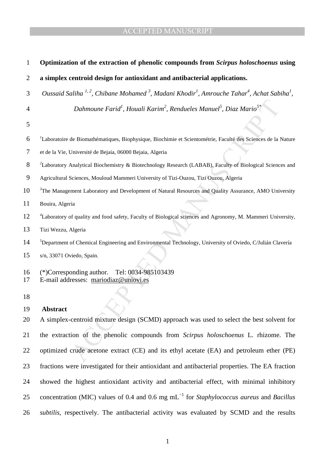| 1              | Optimization of the extraction of phenolic compounds from Scirpus holoschoenus using                                                                  |
|----------------|-------------------------------------------------------------------------------------------------------------------------------------------------------|
| $\overline{2}$ | a simplex centroid design for antioxidant and antibacterial applications.                                                                             |
| 3              | Oussaid Saliha <sup>1,2</sup> , Chibane Mohamed <sup>3</sup> , Madani Khodir <sup>1</sup> , Amrouche Tahar <sup>4</sup> , Achat Sabiha <sup>1</sup> , |
| $\overline{4}$ | Dahmoune Farid <sup>1</sup> , Houali Karim <sup>2</sup> , Rendueles Manuel <sup>5</sup> , Diaz Mario <sup>5*</sup>                                    |
| 5              |                                                                                                                                                       |
| 6              | Laboratoire de Biomathématiques, Biophysique, Biochimie et Scientométrie, Faculté des Sciences de la Nature                                           |
| 7              | et de la Vie, Université de Bejaia, 06000 Bejaia, Algeria                                                                                             |
| 8              | ${}^{2}$ Laboratory Analytical Biochemistry & Biotechnology Research (LABAB), Faculty of Biological Sciences and                                      |
| 9              | Agricultural Sciences, Mouloud Mammeri University of Tizi-Ouzou, Tizi Ouzou, Algeria                                                                  |
| 10             | <sup>3</sup> The Management Laboratory and Development of Natural Resources and Quality Assurance, AMO University                                     |
| 11             | Bouira, Algeria                                                                                                                                       |
| 12             | <sup>4</sup> Laboratory of quality and food safety, Faculty of Biological sciences and Agronomy, M. Mammeri University,                               |
| 13             | Tizi Wezzu, Algeria                                                                                                                                   |
| 14             | <sup>5</sup> Department of Chemical Engineering and Environmental Technology, University of Oviedo, C/Julián Clavería                                 |
| 15             | s/n, 33071 Oviedo, Spain.                                                                                                                             |
| 16<br>17       | Tel: 0034-985103439<br>$(*)$ Corresponding author.<br>E-mail addresses: mariodiaz@uniovi.es                                                           |
| 18             |                                                                                                                                                       |
| 19             | <b>Abstract</b>                                                                                                                                       |
| 20             | A simplex-centroid mixture design (SCMD) approach was used to select the best solvent for                                                             |
| 21             | the extraction of the phenolic compounds from Scirpus holoschoenus L. rhizome. The                                                                    |
| 22             | optimized crude acetone extract (CE) and its ethyl acetate (EA) and petroleum ether (PE)                                                              |
| 23             | fractions were investigated for their antioxidant and antibacterial properties. The EA fraction                                                       |
| 24             | showed the highest antioxidant activity and antibacterial effect, with minimal inhibitory                                                             |
| 25             | concentration (MIC) values of 0.4 and 0.6 mg $mL^{-1}$ for <i>Staphylococcus aureus</i> and <i>Bacillus</i>                                           |
| 26             | subtilis, respectively. The antibacterial activity was evaluated by SCMD and the results                                                              |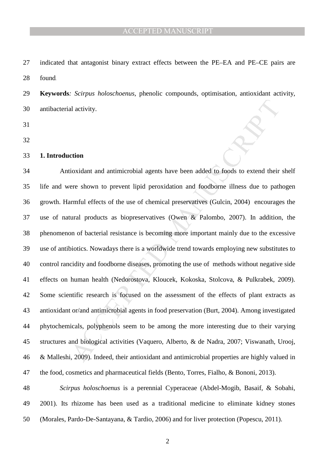27 indicated that antagonist binary extract effects between the PE–EA and PE–CE pairs are 28 found.

29 **Keywords***: Scirpus holoschoenus*, phenolic compounds, optimisation, antioxidant activity, 30 antibacterial activity.

- 31
- 32
- 33 **1. Introduction**

al activity.<br>
and activity.<br>
action<br>
action<br>
action<br>
action and antimicrobial agents have been added to foods to extend their<br>
rmful effects of the use of chemical preservatives (Gulein, 2004) encourage<br>
action<br>
and produc 34 Antioxidant and antimicrobial agents have been added to foods to extend their shelf 35 life and were shown to prevent lipid peroxidation and foodborne illness due to pathogen 36 growth. Harmful effects of the use of chemical preservatives (Gulcin, 2004) encourages the 37 use of natural products as biopreservatives (Owen & Palombo, 2007). In addition, the 38 phenomenon of bacterial resistance is becoming more important mainly due to the excessive 39 use of antibiotics. Nowadays there is a worldwide trend towards employing new substitutes to 40 control rancidity and foodborne diseases, promoting the use of methods without negative side 41 effects on human health (Nedorostova, Kloucek, Kokoska, Stolcova, & Pulkrabek, 2009). 42 Some scientific research is focused on the assessment of the effects of plant extracts as 43 antioxidant or/and antimicrobial agents in food preservation (Burt, 2004). Among investigated 44 phytochemicals, polyphenols seem to be among the more interesting due to their varying 45 structures and biological activities (Vaquero, Alberto, & de Nadra, 2007; Viswanath, Urooj, 46 & Malleshi, 2009). Indeed, their antioxidant and antimicrobial properties are highly valued in 47 the food, cosmetics and pharmaceutical fields (Bento, Torres, Fialho, & Bononi, 2013).

48 *Scirpus holoschoenus* is a perennial Cyperaceae (Abdel-Mogib, Basaif, & Sobahi, 49 2001). Its rhizome has been used as a traditional medicine to eliminate kidney stones 50 (Morales, Pardo-De-Santayana, & Tardio, 2006) and for liver protection (Popescu, 2011).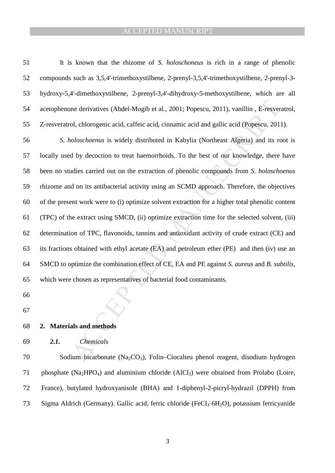| 51 | It is known that the rhizome of S. <i>holoschoneus</i> is rich in a range of phenolic         |
|----|-----------------------------------------------------------------------------------------------|
| 52 | compounds such as 3,5,4'-trimethoxystilbene, 2-prenyl-3,5,4'-trimethoxystilbene, 2-prenyl-3-  |
| 53 | hydroxy-5,4'-dimethoxystilbene, 2-prenyl-3,4'-dihydroxy-5-methoxystilbene, which are all      |
| 54 | acetophenone derivatives (Abdel-Mogib et al., 2001; Popescu, 2011), vanillin, E-resveratrol,  |
| 55 | Z-resveratrol, chlorogenic acid, caffeic acid, cinnamic acid and gallic acid (Popescu, 2011). |

one derivatives (Abdel-Mogib et al., 2001; Popescu, 2011), vanillin, E-resver<br>ol, chlorogenic acid, caffeic acid, cimamic acid and gallic acid (Popescu, 201<br>*ioloschoenus* is widely distributed in Kabylia (Northeast Algeri 56 *S. holoschoenus* is widely distributed in Kabylia (Northeast Algeria) and its root is 57 locally used by decoction to treat haemorrhoids. To the best of our knowledge, there have 58 been no studies carried out on the extraction of phenolic compounds from *S. holoschoenus* 59 rhizome and on its antibacterial activity using an SCMD approach. Therefore, the objectives 60 of the present work were to (i) optimize solvent extraction for a higher total phenolic content 61 (TPC) of the extract using SMCD, (ii) optimize extraction time for the selected solvent, (iii) 62 determination of TPC, flavonoids, tannins and antioxidant activity of crude extract (CE) and 63 its fractions obtained with ethyl acetate (EA) and petroleum ether (PE) and then (iv) use an 64 SMCD to optimize the combination effect of CE, EA and PE against *S. aureus* and *B. subtilis*, 65 which were chosen as representatives of bacterial food contaminants.

- 66
- 67
- 68 **2. Materials and methods**
- 69 *2.1. Chemicals*

70 Sodium bicarbonate (Na<sub>2</sub>CO<sub>3</sub>), Folin–Ciocalteu phenol reagent, disodium hydrogen 71 phosphate  $(Na_2HPO_4)$  and aluminium chloride  $(AICI_3)$  were obtained from Prolabo (Loire, 72 France), butylated hydroxyanisole (BHA) and 1-diphenyl-2-picryl-hydrazil (DPPH) from 73 Sigma Aldrich (Germany). Gallic acid, ferric chloride (FeCl<sub>3</sub>·6H<sub>2</sub>O), potassium ferricyanide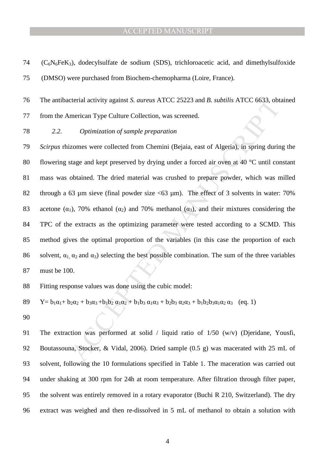$74$  (C<sub>6</sub>N<sub>6</sub>FeK<sub>3</sub>), dodecylsulfate de sodium (SDS), trichloroacetic acid, and dimethylsulfoxide 75 (DMSO) were purchased from Biochem-chemopharma (Loire, France).

76 The antibacterial activity against *S. aureus* ATCC 25223 and *B. subtilis* ATCC 6633, obtained

77 from the American Type Culture Collection, was screened.

78 *2.2. Optimization of sample preparation* 

clerial activity against *S. aureus* ATCC 25223 and *B. subtilis* ATCC 6633, obt<br>merican Type Culture Collection, was screened.<br> *Optimization of sample preparation*<br>
zomes were collected from Chemini (Bejaia, east of Alg 79 *Scirpus* rhizomes were collected from Chemini (Bejaia, east of Algeria), in spring during the 80 flowering stage and kept preserved by drying under a forced air oven at 40 °C until constant 81 mass was obtained. The dried material was crushed to prepare powder, which was milled 82 through a 63 µm sieve (final powder size <63 µm). The effect of 3 solvents in water: 70% 83 acetone ( $\alpha_1$ ), 70% ethanol ( $\alpha_2$ ) and 70% methanol ( $\alpha_3$ ), and their mixtures considering the 84 TPC of the extracts as the optimizing parameter were tested according to a SCMD. This 85 method gives the optimal proportion of the variables (in this case the proportion of each 86 solvent,  $\alpha_1$ ,  $\alpha_2$  and  $\alpha_3$ ) selecting the best possible combination. The sum of the three variables 87 must be 100.

88 Fitting response values was done using the cubic model:

89  $Y=b_1\alpha_1+b_2\alpha_2+b_3\alpha_3+b_1b_2\alpha_1\alpha_2+b_1b_3\alpha_1\alpha_3+b_2b_3\alpha_2\alpha_3+b_1b_2b_3\alpha_1\alpha_2\alpha_3$  (eq. 1)

90

91 The extraction was performed at solid / liquid ratio of 1/50 (w/v) (Djeridane, Yousfi, 92 Boutassouna, Stocker, & Vidal, 2006). Dried sample (0.5 g) was macerated with 25 mL of 93 solvent, following the 10 formulations specified in Table 1. The maceration was carried out 94 under shaking at 300 rpm for 24h at room temperature. After filtration through filter paper, 95 the solvent was entirely removed in a rotary evaporator (Buchi R 210, Switzerland). The dry 96 extract was weighed and then re-dissolved in 5 mL of methanol to obtain a solution with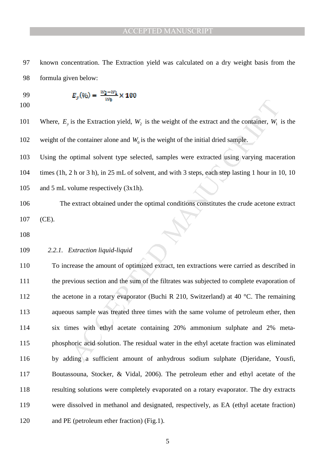97 known concentration. The Extraction yield was calculated on a dry weight basis from the 98 formula given below:

99 
$$
E_y(\%) = \frac{w_2 - w_1}{w_0} \times 100
$$

100

101 Where,  $E_y$  is the Extraction yield,  $W_2$  is the weight of the extract and the container,  $W_1$  is the 102 weight of the container alone and  $W_0$  is the weight of the initial dried sample.

103 Using the optimal solvent type selected, samples were extracted using varying maceration 104 times (1h, 2 h or 3 h), in 25 mL of solvent, and with 3 steps, each step lasting 1 hour in 10, 10 105 and 5 mL volume respectively (3x1h).

- 106 The extract obtained under the optimal conditions constitutes the crude acetone extract 107 (CE).
- 108
- 109 *2.2.1. Extraction liquid-liquid*

we<br>is the Extraction yield,  $W_2$  is the weight of the extract and the container,  $W_1$ <br>he container alone and  $W_0$  is the weight of the initial dried sample.<br>optimal solvent type selected, samples were extracted using v 110 To increase the amount of optimized extract, ten extractions were carried as described in 111 the previous section and the sum of the filtrates was subjected to complete evaporation of 112 the acetone in a rotary evaporator (Buchi R 210, Switzerland) at 40  $^{\circ}$ C. The remaining 113 aqueous sample was treated three times with the same volume of petroleum ether, then 114 six times with ethyl acetate containing 20% ammonium sulphate and 2% meta-115 phosphoric acid solution. The residual water in the ethyl acetate fraction was eliminated 116 by adding a sufficient amount of anhydrous sodium sulphate (Djeridane, Yousfi, 117 Boutassouna, Stocker, & Vidal, 2006). The petroleum ether and ethyl acetate of the 118 resulting solutions were completely evaporated on a rotary evaporator. The dry extracts 119 were dissolved in methanol and designated, respectively, as EA (ethyl acetate fraction) 120 and PE (petroleum ether fraction) (Fig.1).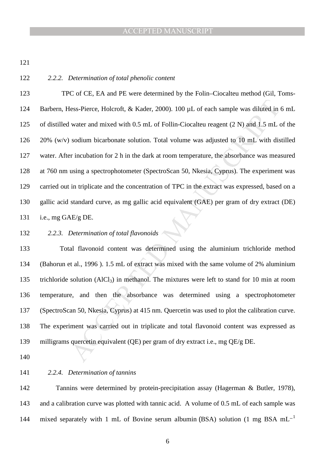121

### 122 *2.2.2. Determination of total phenolic content*

iess-Pierce, Holcroft, & Kader, 2000). 100 µL of each sample was diluted in water and mixed with 0.5 mL of Follin-Ciocalteu reagent  $(2 N)$  and  $1.5$  mL of sodium bicarbonate solution. Total volume was adjusted to  $10$  mL 123 TPC of CE, EA and PE were determined by the Folin–Ciocalteu method (Gil, Toms-124 Barbern, Hess-Pierce, Holcroft, & Kader, 2000). 100 µL of each sample was diluted in 6 mL 125 of distilled water and mixed with 0.5 mL of Follin-Ciocalteu reagent (2 N) and 1.5 mL of the 126 20% (w/v) sodium bicarbonate solution. Total volume was adjusted to 10 mL with distilled 127 water. After incubation for 2 h in the dark at room temperature, the absorbance was measured 128 at 760 nm using a spectrophotometer (SpectroScan 50, Nkesia, Cyprus). The experiment was 129 carried out in triplicate and the concentration of TPC in the extract was expressed, based on a 130 gallic acid standard curve, as mg gallic acid equivalent (GAE) per gram of dry extract (DE) 131 i.e., mg GAE/g DE.

# 132 *2.2.3. Determination of total flavonoids*

133 Total flavonoid content was determined using the aluminium trichloride method 134 (Bahorun et al., 1996 ). 1.5 mL of extract was mixed with the same volume of 2% aluminium 135 trichloride solution  $(AICI_3)$  in methanol. The mixtures were left to stand for 10 min at room 136 temperature, and then the absorbance was determined using a spectrophotometer 137 (SpectroScan 50, Nkesia, Cyprus) at 415 nm. Quercetin was used to plot the calibration curve. 138 The experiment was carried out in triplicate and total flavonoid content was expressed as 139 milligrams quercetin equivalent (QE) per gram of dry extract i.e., mg QE/g DE.

140

# 141 *2.2.4. Determination of tannins*

142 Tannins were determined by protein-precipitation assay (Hagerman & Butler, 1978), 143 and a calibration curve was plotted with tannic acid. A volume of 0.5 mL of each sample was mixed separately with 1 mL of Bovine serum albumin (BSA) solution (1 mg BSA mL<sup>-1</sup> 144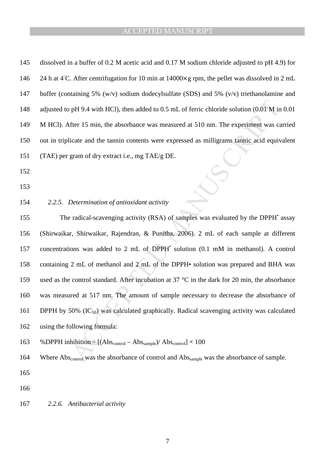| 145 | dissolved in a buffer of 0.2 M acetic acid and 0.17 M sodium chloride adjusted to pH 4.9) for                      |
|-----|--------------------------------------------------------------------------------------------------------------------|
| 146 | 24 h at 4°C. After centrifugation for 10 min at $14000 \times g$ rpm, the pellet was dissolved in 2 mL             |
| 147 | buffer (containing 5% $(w/v)$ sodium dodecylsulfate (SDS) and 5% $(v/v)$ triethanolamine and                       |
| 148 | adjusted to pH 9.4 with HCl), then added to 0.5 mL of ferric chloride solution (0.01 M in 0.01                     |
| 149 | M HCl). After 15 min, the absorbance was measured at 510 nm. The experiment was carried                            |
| 150 | out in triplicate and the tannin contents were expressed as milligrams tannic acid equivalent                      |
| 151 | (TAE) per gram of dry extract i.e., mg TAE/g DE.                                                                   |
| 152 |                                                                                                                    |
| 153 |                                                                                                                    |
| 154 | 2.2.5. Determination of antioxidant activity                                                                       |
| 155 | The radical-scavenging activity (RSA) of samples was evaluated by the DPPH' assay                                  |
| 156 | (Shirwaikar, Shirwaikar, Rajendran, & Punitha, 2006). 2 mL of each sample at different                             |
| 157 | concentrations was added to 2 mL of DPPH' solution (0.1 mM in methanol). A control                                 |
| 158 | containing 2 mL of methanol and 2 mL of the DPPH• solution was prepared and BHA was                                |
| 159 | used as the control standard. After incubation at 37 °C in the dark for 20 min, the absorbance                     |
| 160 | was measured at 517 nm. The amount of sample necessary to decrease the absorbance of                               |
| 161 | DPPH by 50% $(IC_{50})$ was calculated graphically. Radical scavenging activity was calculated                     |
| 162 | using the following formula:                                                                                       |
| 163 | % DPPH inhibition = $[(Abs_{control} - Abs_{sample})/Abs_{control}] \times 100$                                    |
| 164 | Where Abs <sub>control</sub> was the absorbance of control and Abs <sub>sample</sub> was the absorbance of sample. |
| 165 |                                                                                                                    |

166

167 *2.2.6. Antibacterial activity*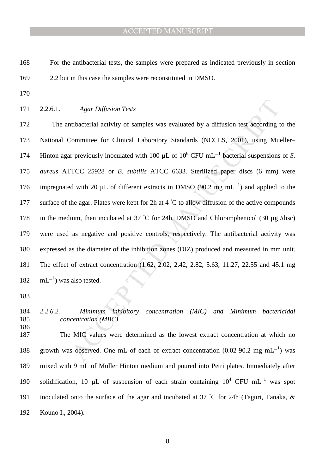168 For the antibacterial tests, the samples were prepared as indicated previously in section 169 2.2 but in this case the samples were reconstituted in DMSO.

- 170
- 171 2.2.6.1. *Agar Diffusion Tests*

Agar Diffusion Tests<br>
itibacterial activity of samples was evaluated by a diffusion test according t<br>
committee for Clinical Laboratory Standards (NCCLS, 2001), using Mud<br>
ir previously inoculated with 100 µL of 10<sup>6</sup> CFU 172 The antibacterial activity of samples was evaluated by a diffusion test according to the 173 National Committee for Clinical Laboratory Standards (NCCLS, 2001), using Mueller– 174 Hinton agar previously inoculated with 100 μL of 10<sup>6</sup> CFU mL<sup>-1</sup> bacterial suspensions of *S*. 175 *aureus* ATTCC 25928 or *B. subtilis* ATCC 6633. Sterilized paper discs (6 mm) were 176 impregnated with 20 μL of different extracts in DMSO (90.2 mg mL<sup>-1</sup>) and applied to the 177 surface of the agar. Plates were kept for 2h at  $4 °C$  to allow diffusion of the active compounds 178 in the medium, then incubated at 37 °C for 24h. DMSO and Chloramphenicol (30  $\mu$ g /disc) 179 were used as negative and positive controls, respectively. The antibacterial activity was 180 expressed as the diameter of the inhibition zones (DIZ) produced and measured in mm unit. 181 The effect of extract concentration (1.62, 2.02, 2.42, 2.82, 5.63, 11.27, 22.55 and 45.1 mg  $182 \text{ mL}^{-1}$ ) was also tested.

183

186

185 *concentration (MBC)* 

184 *2.2.6.2. Minimum inhibitory concentration (MIC) and Minimum bactericidal* 

187 The MIC values were determined as the lowest extract concentration at which no 188 growth was observed. One mL of each of extract concentration (0.02-90.2 mg mL<sup>-1</sup>) was 189 mixed with 9 mL of Muller Hinton medium and poured into Petri plates. Immediately after 190 solidification, 10 µL of suspension of each strain containing  $10^4$  CFU mL<sup>-1</sup> was spot 191 inoculated onto the surface of the agar and incubated at 37 °C for 24h (Taguri, Tanaka,  $\&$ 192 Kouno I., 2004).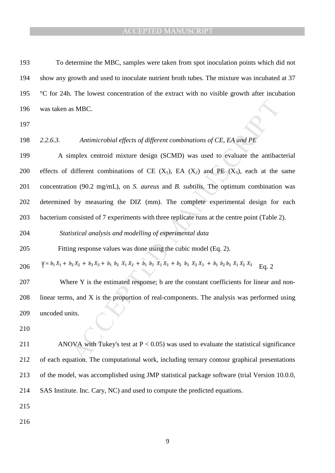193 To determine the MBC, samples were taken from spot inoculation points which did not 194 show any growth and used to inoculate nutrient broth tubes. The mixture was incubated at 37 195  $\degree$ C for 24h. The lowest concentration of the extract with no visible growth after incubation 196 was taken as MBC.

197

198 *2.2.6.3. Antimicrobial effects of different combinations of CE, EA and PE* 

as MBC.<br>
Antimicrobial effects of different combinations of CE, EA and PE<br>
implex centroid mixture design (SCMD) was used to evaluate the antibac<br>
different combinations of CE (X<sub>1</sub>), EA (X<sub>2</sub>) and PE (X<sub>3</sub>), each at the<br> 199 A simplex centroid mixture design (SCMD) was used to evaluate the antibacterial 200 effects of different combinations of CE  $(X_1)$ , EA  $(X_2)$  and PE  $(X_3)$ , each at the same 201 concentration (90.2 mg/mL), on *S. aureus* and *B. subtilis*. The optimum combination was 202 determined by measuring the DIZ (mm). The complete experimental design for each 203 bacterium consisted of 7 experiments with three replicate runs at the centre point (Table 2).

204 *Statistical analysis and modelling of experimental data* 

205 Fitting response values was done using the cubic model (Eq. 2).

206  $\sqrt{5} = b_1 X_1 + b_2 X_2 + b_3 X_3 + b_1 b_2 X_1 X_2 + b_1 b_3 X_1 X_3 + b_2 b_3 X_2 X_3 + b_1 b_2 b_3 X_1 X_2 X_3$  Eq. 2

207 Where Y is the estimated response; b are the constant coefficients for linear and non-208 linear terms, and X is the proportion of real-components. The analysis was performed using 209 uncoded units.

210

211 ANOVA with Tukey's test at  $P < 0.05$ ) was used to evaluate the statistical significance 212 of each equation. The computational work, including ternary contour graphical presentations 213 of the model, was accomplished using JMP statistical package software (trial Version 10.0.0, 214 SAS Institute. Inc. Cary, NC) and used to compute the predicted equations.

215

216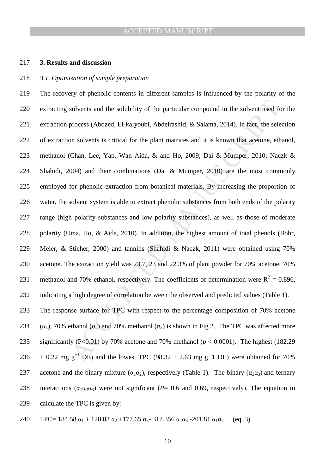#### 217 **3. Results and discussion**

#### 218 *3.1. Optimization of sample preparation*

solvents and the solubility of the particular compound in the solvent used for<br>process (Abozed, El-kalyoubi, Abdelrashid, & Salama, 2014). In fact, the sele<br>on solvents is critical for the plant matrices and it is known t 219 The recovery of phenolic contents in different samples is influenced by the polarity of the 220 extracting solvents and the solubility of the particular compound in the solvent used for the 221 extraction process (Abozed, El-kalyoubi, Abdelrashid, & Salama, 2014). In fact, the selection 222 of extraction solvents is critical for the plant matrices and it is known that acetone, ethanol, 223 methanol (Chan, Lee, Yap, Wan Aida, & and Ho, 2009; Dai & Mumper, 2010; Naczk & 224 Shahidi, 2004) and their combinations (Dai & Mumper, 2010) are the most commonly 225 employed for phenolic extraction from botanical materials. By increasing the proportion of 226 water, the solvent system is able to extract phenolic substances from both ends of the polarity 227 range (high polarity substances and low polarity substances), as well as those of moderate 228 polarity (Uma, Ho, & Aida, 2010). In addition, the highest amount of total phenols (Bohr, 229 Meier, & Sticher, 2000) and tannins (Shahidi & Naczk, 2011) were obtained using 70% 230 acetone. The extraction yield was 23.7, 23 and 22.3% of plant powder for 70% acetone, 70% 231 methanol and 70% ethanol, respectively. The coefficients of determination were  $R^2 = 0.896$ , 232 indicating a high degree of correlation between the observed and predicted values (Table 1). 233 The response surface for TPC with respect to the percentage composition of 70% acetone 234 ( $\alpha_1$ ), 70% ethanol ( $\alpha_2$ ) and 70% methanol ( $\alpha_3$ ) is shown in Fig.2. The TPC was affected more

235 significantly (P<0.01) by 70% acetone and 70% methanol ( $p < 0.0001$ ). The highest (182.29) 236  $\pm$  0.22 mg g<sup>-1</sup> DE) and the lowest TPC (98.32  $\pm$  2.63 mg g-1 DE) were obtained for 70% 237 acetone and the binary mixture  $(\alpha_1 \alpha_2)$ , respectively (Table 1). The binary  $(\alpha_2 \alpha_3)$  and ternary 238 interactions ( $\alpha_1 \alpha_2 \alpha_3$ ) were not significant (*P*= 0.6 and 0.69, respectively). The equation to 239 calculate the TPC is given by:

$$
240 \t TPC = 184.58 \alpha_1 + 128.83 \alpha_2 + 177.65 \alpha_3 - 317.356 \alpha_1 \alpha_3 - 201.81 \alpha_1 \alpha_2 \quad (eq. 3)
$$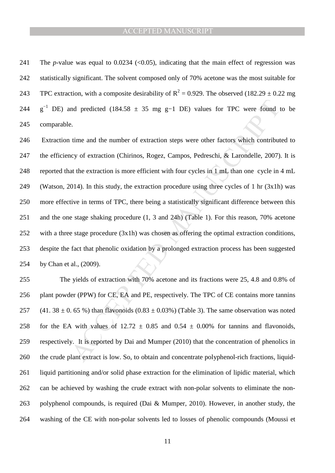241 The *p*-value was equal to 0.0234  $\langle$  < 0.05), indicating that the main effect of regression was 242 statistically significant. The solvent composed only of 70% acetone was the most suitable for 243 TPC extraction, with a composite desirability of  $R^2 = 0.929$ . The observed (182.29  $\pm$  0.22 mg 244 g<sup>-1</sup> DE) and predicted (184.58  $\pm$  35 mg g-1 DE) values for TPC were found to be 245 comparable.

and predicted (184.58  $\pm$  35 mg g-1 DE) values for TPC were found to<br>
e.<br>
e.<br>
time and the number of extraction steps were other factors which contribut<br>
evy of extraction is more efficient with four cycles in 1 mL than 246 Extraction time and the number of extraction steps were other factors which contributed to 247 the efficiency of extraction (Chirinos, Rogez, Campos, Pedreschi, & Larondelle, 2007). It is 248 reported that the extraction is more efficient with four cycles in 1 mL than one cycle in 4 mL 249 (Watson, 2014). In this study, the extraction procedure using three cycles of 1 hr (3x1h) was 250 more effective in terms of TPC, there being a statistically significant difference between this 251 and the one stage shaking procedure (1, 3 and 24h) (Table 1). For this reason, 70% acetone 252 with a three stage procedure (3x1h) was chosen as offering the optimal extraction conditions, 253 despite the fact that phenolic oxidation by a prolonged extraction process has been suggested 254 by Chan et al., (2009).

255 The yields of extraction with 70% acetone and its fractions were 25, 4.8 and 0.8% of 256 plant powder (PPW) for CE, EA and PE, respectively. The TPC of CE contains more tannins 257 (41. 38  $\pm$  0. 65 %) than flavonoids (0.83  $\pm$  0.03%) (Table 3). The same observation was noted 258 for the EA with values of  $12.72 \pm 0.85$  and  $0.54 \pm 0.00\%$  for tannins and flavonoids, 259 respectively. It is reported by Dai and Mumper (2010) that the concentration of phenolics in 260 the crude plant extract is low. So, to obtain and concentrate polyphenol-rich fractions, liquid-261 liquid partitioning and/or solid phase extraction for the elimination of lipidic material, which 262 can be achieved by washing the crude extract with non-polar solvents to eliminate the non-263 polyphenol compounds, is required (Dai & Mumper, 2010). However, in another study, the 264 washing of the CE with non-polar solvents led to losses of phenolic compounds (Moussi et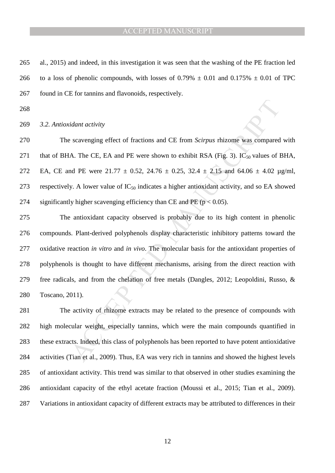265 al., 2015) and indeed, in this investigation it was seen that the washing of the PE fraction led 266 to a loss of phenolic compounds, with losses of  $0.79\% \pm 0.01$  and  $0.175\% \pm 0.01$  of TPC 267 found in CE for tannins and flavonoids, respectively.

268

#### 269 *3.2. Antioxidant activity*

270 The scavenging effect of fractions and CE from *Scirpus* rhizome was compared with 271 that of BHA. The CE, EA and PE were shown to exhibit RSA (Fig. 3).  $IC_{50}$  values of BHA, 272 EA, CE and PE were  $21.77 \pm 0.52$ ,  $24.76 \pm 0.25$ ,  $32.4 \pm 2.15$  and  $64.06 \pm 4.02$   $\mu$ g/ml, 273 respectively. A lower value of  $IC_{50}$  indicates a higher antioxidant activity, and so EA showed 274 significantly higher scavenging efficiency than CE and PE ( $p < 0.05$ ).

idant activity<br>scavenging effect of fractions and CE from *Scirpus* thizome was compared<br>A. The CE, EA and PE were shown to exhibit RSA (Fig. 3). IC<sub>50</sub> values of 1<br>of PE were 21.77  $\pm$  0.52, 24.76  $\pm$  0.25, 32.4  $\pm$  2 275 The antioxidant capacity observed is probably due to its high content in phenolic 276 compounds. Plant-derived polyphenols display characteristic inhibitory patterns toward the 277 oxidative reaction *in vitro* and *in vivo*. The molecular basis for the antioxidant properties of 278 polyphenols is thought to have different mechanisms, arising from the direct reaction with 279 free radicals, and from the chelation of free metals (Dangles, 2012; Leopoldini, Russo, & 280 Toscano, 2011).

281 The activity of rhizome extracts may be related to the presence of compounds with 282 high molecular weight, especially tannins, which were the main compounds quantified in 283 these extracts. Indeed, this class of polyphenols has been reported to have potent antioxidative 284 activities (Tian et al., 2009). Thus, EA was very rich in tannins and showed the highest levels 285 of antioxidant activity. This trend was similar to that observed in other studies examining the 286 antioxidant capacity of the ethyl acetate fraction (Moussi et al., 2015; Tian et al., 2009). 287 Variations in antioxidant capacity of different extracts may be attributed to differences in their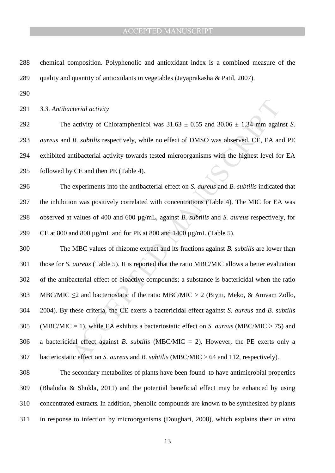| 288 | chemical composition. Polyphenolic and antioxidant index is a combined measure of the                    |
|-----|----------------------------------------------------------------------------------------------------------|
| 289 | quality and quantity of antioxidants in vegetables (Jayaprakasha & Patil, 2007).                         |
| 290 |                                                                                                          |
| 291 | 3.3. Antibacterial activity                                                                              |
| 292 | The activity of Chloramphenicol was $31.63 \pm 0.55$ and $30.06 \pm 1.34$ mm against S.                  |
| 293 | <i>aureus</i> and <i>B. subtilis</i> respectively, while no effect of DMSO was observed. CE, EA and PE   |
| 294 | exhibited antibacterial activity towards tested microorganisms with the highest level for EA             |
| 295 | followed by CE and then PE (Table 4).                                                                    |
| 296 | The experiments into the antibacterial effect on S. aureus and B. subtilis indicated that                |
| 297 | the inhibition was positively correlated with concentrations (Table 4). The MIC for EA was               |
| 298 | observed at values of 400 and 600 µg/mL, against B. subtilis and S. aureus respectively, for             |
| 299 | CE at 800 and 800 $\mu$ g/mL and for PE at 800 and 1400 $\mu$ g/mL (Table 5).                            |
| 300 | The MBC values of rhizome extract and its fractions against <i>B</i> . <i>subtilis</i> are lower than    |
| 301 | those for S. aureus (Table 5). It is reported that the ratio MBC/MIC allows a better evaluation          |
| 302 | of the antibacterial effect of bioactive compounds; a substance is bactericidal when the ratio           |
| 303 | MBC/MIC $\leq$ 2 and bacteriostatic if the ratio MBC/MIC > 2 (Biyiti, Meko, & Amvam Zollo,               |
| 304 | 2004). By these criteria, the CE exerts a bactericidal effect against S. aureus and B. subtilis          |
| 305 | (MBC/MIC = 1), while EA exhibits a bacteriostatic effect on S. <i>aureus</i> (MBC/MIC > 75) and          |
| 306 | a bactericidal effect against <i>B. subtilis</i> (MBC/MIC = 2). However, the PE exerts only a            |
| 307 | bacteriostatic effect on S. <i>aureus</i> and B. <i>subtilis</i> (MBC/MIC $> 64$ and 112, respectively). |
|     |                                                                                                          |

308 The secondary metabolites of plants have been found to have antimicrobial properties 309 (Bhalodia & Shukla, 2011) and the potential beneficial effect may be enhanced by using 310 concentrated extracts. In addition, phenolic compounds are known to be synthesized by plants 311 in response to infection by microorganisms (Doughari, 2008), which explains their *in vitro*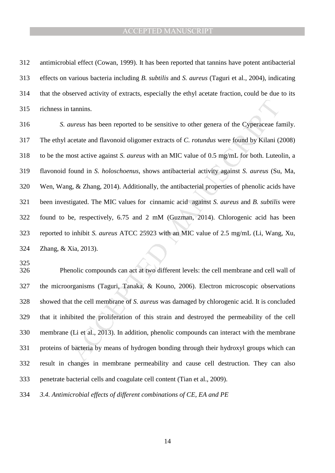312 antimicrobial effect (Cowan, 1999). It has been reported that tannins have potent antibacterial 313 effects on various bacteria including *B. subtilis* and *S. aureus* (Taguri et al., 2004), indicating 314 that the observed activity of extracts, especially the ethyl acetate fraction, could be due to its 315 richness in tannins.

tannins.<br>
tannins.<br>
tannins.<br>
tannins.<br>
tannins.<br>
tanning.<br>
tanning and Havonoid oligomer extracts of C. rotundus were found by Kilani (2<br>
to toth. Luted ond in *S. holoschoenus*, shows antibacterial activity against *S.* 316 *S. aureus* has been reported to be sensitive to other genera of the Cyperaceae family. 317 The ethyl acetate and flavonoid oligomer extracts of *C. rotundus* were found by Kilani (2008) 318 to be the most active against *S. aureus* with an MIC value of 0.5 mg/mL for both. Luteolin, a 319 flavonoid found in *S. holoschoenus*, shows antibacterial activity against *S. aureus* (Su, Ma, 320 Wen, Wang, & Zhang, 2014). Additionally, the antibacterial properties of phenolic acids have 321 been investigated. The MIC values for cinnamic acid against *S. aureus* and *B. subtilis* were 322 found to be, respectively, 6.75 and 2 mM (Guzman, 2014). Chlorogenic acid has been 323 reported to inhibit *S. aureus* ATCC 25923 with an MIC value of 2.5 mg/mL (Li, Wang, Xu, 324 Zhang, & Xia, 2013).

325

326 Phenolic compounds can act at two different levels: the cell membrane and cell wall of 327 the microorganisms (Taguri, Tanaka, & Kouno, 2006). Electron microscopic observations 328 showed that the cell membrane of *S. aureus* was damaged by chlorogenic acid. It is concluded 329 that it inhibited the proliferation of this strain and destroyed the permeability of the cell 330 membrane (Li et al., 2013). In addition, phenolic compounds can interact with the membrane 331 proteins of bacteria by means of hydrogen bonding through their hydroxyl groups which can 332 result in changes in membrane permeability and cause cell destruction. They can also 333 penetrate bacterial cells and coagulate cell content (Tian et al., 2009).

334 *3.4. Antimicrobial effects of different combinations of CE, EA and PE* 

14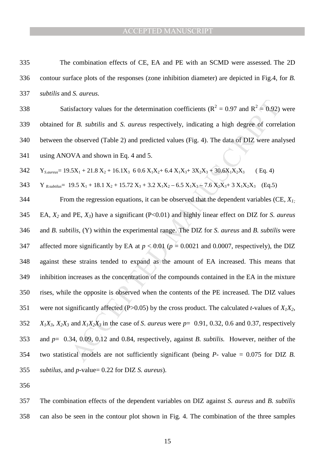- 335 The combination effects of CE, EA and PE with an SCMD were assessed. The 2D 336 contour surface plots of the responses (zone inhibition diameter) are depicted in Fig.4, for *B.*  337 *subtilis* and *S. aureus.*
- 338 Satisfactory values for the determination coefficients ( $R^2 = 0.97$  and  $R^2 = 0.92$ ) were 339 obtained for *B. subtilis* and *S. aureus* respectively, indicating a high degree of correlation 340 between the observed (Table 2) and predicted values (Fig. 4). The data of DIZ were analysed 341 using ANOVA and shown in Eq. 4 and 5.
- $342$   $Y_{S. \text{aureus}} = 19.5X_1 + 21.8 X_2 + 16.1X_3$  6 0.6  $X_1X_2 + 6.4 X_1X_3 + 3X_2X_3 + 30.6X_1X_2X_3$  (Eq. 4)
- 343 Y  $B_{.}$  *B.subtilus*<sup>=</sup> 19.5 X<sub>1</sub> + 18.1 X<sub>2</sub> + 15.72 X<sub>3</sub> + 3.2 X<sub>1</sub>X<sub>2</sub> 6.5 X<sub>1</sub>X<sub>3</sub> 7.6 X<sub>2</sub>X<sub>3</sub> + 3 X<sub>1</sub>X<sub>2</sub>X<sub>3</sub> (Eq.5)
- isfactory values for the determination coefficients ( $R^2 = 0.97$  and  $R^2 = 0.92$ )<br>or *B. subtilis* and *S. aureus* respectively, indicating a high degree of correl<br>e observed (Table 2) and predicted values (Fig. 4). The d 344 From the regression equations, it can be observed that the dependent variables (CE, *X1;* 345 EA, *X2* and PE, *X3*) have a significant (P<0.01) and highly linear effect on DIZ for *S. aureus* 346 and *B. subtilis*, (Y) within the experimental range. The DIZ for *S. aureus* and *B. subtilis* were 347 affected more significantly by EA at  $p < 0.01$  ( $p = 0.0021$  and 0.0007, respectively), the DIZ 348 against these strains tended to expand as the amount of EA increased. This means that 349 inhibition increases as the concentration of the compounds contained in the EA in the mixture 350 rises, while the opposite is observed when the contents of the PE increased. The DIZ values 351 were not significantly affected (P>0.05) by the cross product. The calculated *t*-values of  $X_1X_2$ ,  $X_1X_3, X_2X_3$  and  $X_1X_2X_3$  in the case of *S*. *aureus* were  $p=0.91, 0.32, 0.6$  and 0.37, respectively 353 and *p*= 0.34, 0.09, 0.12 and 0.84, respectively, against *B. subtilis.* However, neither of the 354 two statistical models are not sufficiently significant (being *P*- value = 0.075 for DIZ *B.*  355 *subtilus*, and *p*-value= 0.22 for DIZ *S. aureus*).
- 356

357 The combination effects of the dependent variables on DIZ against *S. aureus* and *B. subtilis* 358 can also be seen in the contour plot shown in Fig. 4. The combination of the three samples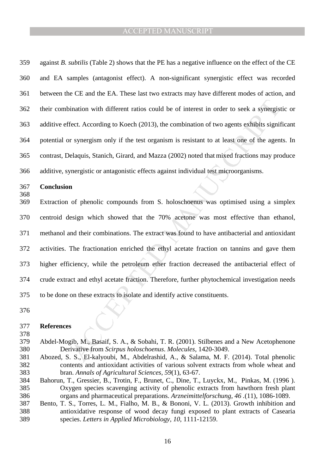359 against *B. subtilis* (Table 2) shows that the PE has a negative influence on the effect of the CE 360 and EA samples (antagonist effect). A non-significant synergistic effect was recorded 361 between the CE and the EA. These last two extracts may have different modes of action, and 362 their combination with different ratios could be of interest in order to seek a synergistic or 363 additive effect. According to Koech (2013), the combination of two agents exhibits significant 364 potential or synergism only if the test organism is resistant to at least one of the agents. In 365 contrast, Delaquis, Stanich, Girard, and Mazza (2002) noted that mixed fractions may produce 366 additive, synergistic or antagonistic effects against individual test microorganisms.

# 367 **Conclusion**

368

ination with different ratios could be of interest in order to seek a synergis<br>fect. According to Koech (2013), the combination of two agents exhibits signit<br>r synergism only if the test organism is resistant to at least o 369 Extraction of phenolic compounds from S. holoschoenus was optimised using a simplex 370 centroid design which showed that the 70% acetone was most effective than ethanol, 371 methanol and their combinations. The extract was found to have antibacterial and antioxidant 372 activities. The fractionation enriched the ethyl acetate fraction on tannins and gave them 373 higher efficiency, while the petroleum ether fraction decreased the antibacterial effect of 374 crude extract and ethyl acetate fraction. Therefore, further phytochemical investigation needs 375 to be done on these extracts to isolate and identify active constituents.

376

378

#### 377 **References**

- 379 Abdel-Mogib, M., Basaif, S. A., & Sobahi, T. R. (2001). Stilbenes and a New Acetophenone 380 Derivative from *Scirpus holoschoenus*. *Molecules,* 1420-3049.
- 381 Abozed, S. S., El-kalyoubi, M., Abdelrashid, A., & Salama, M. F. (2014). Total phenolic 382 contents and antioxidant activities of various solvent extracts from whole wheat and 383 bran. *Annals of Agricultural Sciences, 59*(1), 63-67.
- 384 Bahorun, T., Gressier, B., Trotin, F., Brunet, C., Dine, T., Luyckx, M., Pinkas, M. (1996 ). 385 Oxygen species scavenging activity of phenolic extracts from hawthorn fresh plant 386 organs and pharmaceutical preparations. *Arzneimittelforschung, 46 .*(11), 1086-1089.
- 387 Bento, T. S., Torres, L. M., Fialho, M. B., & Bononi, V. L. (2013). Growth inhibition and 388 antioxidative response of wood decay fungi exposed to plant extracts of Casearia 389 species. *Letters in Applied Microbiology, 10*, 1111-12159.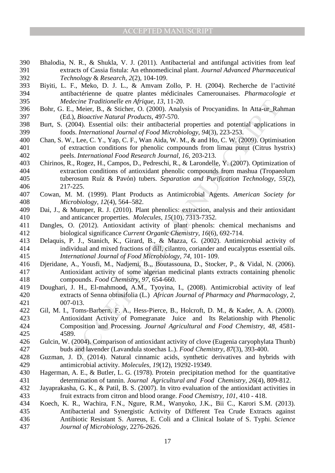- 390 Bhalodia, N. R., & Shukla, V. J. (2011). Antibacterial and antifungal activities from leaf 391 extracts of Cassia fistula: An ethnomedicinal plant. *Journal Advanced Pharmaceutical*  392 *Technology* & *Research, 2*(2), 104-109.
- 393 Biyiti, L. F., Meko, D. J. L., & Amvam Zollo, P. H. (2004). Recherche de l'activité 394 antibactérienne de quatre plantes médicinales Camerounaises. *Pharmacologie et*  395 *Medecine Traditionelle en Afrique, 13*, 11-20.
- 396 Bohr, G. E., Meier, B., & Sticher, O. (2000). Analysis of Procyanidins. In Atta-ur\_Rahman 397 (Ed.), *Bioactive Natural Products,* 497-570.
- 398 Burt, S. (2004). Essential oils: their antibacterial properties and potential applications in 399 foods. *International Journal of Food Microbiology, 94*(3), 223-253.
- 400 Chan, S. W., Lee, C. Y., Yap, C. F., Wan Aida, W. M., & and Ho, C. W. (2009). Optimisation 401 of extraction conditions for phenolic compounds from limau purut (Citrus hystrix) 402 peels. *International Food Research Journal, 16*, 203-213.
- decime Traditionelle en Afrique, 13, 11-20.<br>
E., Meier, B., & Sticher, O. (2000). Analysis of Procyanidins. In Atta-ur-Ral,<br>
1., Meier, B., & Sticher, O. (2000). Analysis of Procyanidins. In Atta-ur-Ral,<br>
1.), Bioactive N 403 Chirinos, R., Rogez, H., Campos, D., Pedreschi, R., & Larondelle, Y. (2007). Optimization of 404 extraction conditions of antioxidant phenolic compounds from mashua (Tropaeolum 405 tuberosum Ruíz & Pavón) tubers. *Separation and Purification Technology, 55*(2), 406 217-225.
- 407 Cowan, M. M. (1999). Plant Products as Antimicrobial Agents. *American Society for*  408 *Microbiology, 12*(4), 564–582.
- 409 Dai, J., & Mumper, R. J. (2010). Plant phenolics: extraction, analysis and their antioxidant 410 and anticancer properties. *Molecules, 15*(10), 7313-7352.
- 411 Dangles, O. (2012). Antioxidant activity of plant phenols: chemical mechanisms and 412 biological significance *Current Organic Chemistry, 16*(6), 692-714.
- 413 Delaquis, P. J., Stanich, K., Girard, B., & Mazza, G. (2002). Antimicrobial activity of 414 individual and mixed fractions of dill, cilantro, coriander and eucalyptus essential oils. 415 *International Journal of Food Microbiology, 74*, 101- 109.
- 416 Djeridane, A., Yousfi, M., Nadjemi, B.,, Boutassouna, D., Stocker, P., & Vidal, N. (2006). 417 Antioxidant activity of some algerian medicinal plants extracts containing phenolic 418 compounds. *Food Chemistry, 97*, 654-660.
- 419 Doughari, J. H., El-mahmood, A.M., Tyoyina, I., (2008). Antimicrobial activity of leaf 420 extracts of Senna obtusifolia (L.) *African Journal of Pharmacy and Pharmacology, 2*, 421 007-013.
- 422 Gil, M. I., Toms-Barbern, F. A., Hess-Pierce, B., Holcroft, D. M., & Kader, A. A. (2000). 423 Antioxidant Activity of Pomegranate Juice and Its Relationship with Phenolic 424 Composition and Processing. *Journal Agricultural and Food Chemistry, 48*, 4581- 425 4589.
- 426 Gulcin, W. (2004). Comparison of antioxidant activity of clove (Eugenia caryophylata Thunb) 427 buds and lavender (Lavandula stoechas L.). *Food Chemistry, 87*(3), 393-400.
- 428 Guzman, J. D. (2014). Natural cinnamic acids, synthetic derivatives and hybrids with 429 antimicrobial activity. *Molecules, 19*(12), 19292-19349.
- 430 Hagerman, A. E., & Butler, L. G. (1978). Protein precipitation method for the quantitative 431 determination of tannin. *Journal Agricultural and Food Chemistry, 26*(4), 809-812.
- 432 Jayaprakasha, G. K., & Patil, B. S. (2007). In vitro evaluation of the antioxidant activities in 433 fruit extracts from citron and blood orange. *Food Chemistry, 101*, 410 - 418.
- 434 Koech, K. R., Wachira, F.N., Ngure, R.M., Wanyoko, J.K., Bii C., Karori S.M. (2013). 435 Antibacterial and Synergistic Activity of Different Tea Crude Extracts against 436 Antibiotic Resistant S. Aureus, E. Coli and a Clinical Isolate of S. Typhi. *Science*  437 *Journal of Microbiology*, 2276-2626.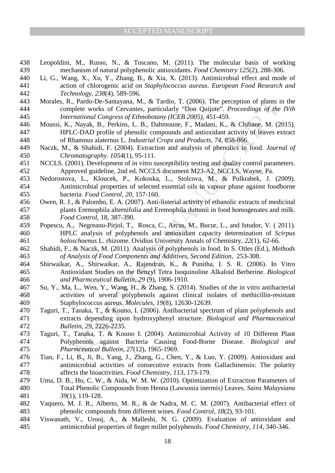- 438 Leopoldini, M., Russo, N., & Toscano, M. (2011). The molecular basis of working 439 mechanism of natural polyphenolic antioxidants. *Food Chemistry 125*(2), 288-306.
- 440 Li, G., Wang, X., Xu, Y., Zhang, B., & Xia, X. (2013). Antimicrobial effect and mode of 441 action of chlorogenic acid on *Staphylococcus aureus*. *European Food Research and*  442 *Technology, 238*(4), 589-596.
- 443 Morales, R., Pardo-De-Santayana, M., & Tardio, T. (2006). The perception of plants in the 444 complete works of Cervantes, particularly "Don Quijote". *Proceedings of the IVth*  445 *International Congress of Ethnobotany (ICEB 2005)*, 451-459.
- 446 Moussi, K., Nayak, B., Perkins, L. B., Dahmoune, F., Madani, K., & Chibane, M. (2015). 447 HPLC-DAD profile of phenolic compounds and antioxidant activity of leaves extract 448 of Rhamnus alaternus L. *Industrial Crops and Products, 74*, 858-866.
- 449 Naczk, M., & Shahidi, F. (2004). Extraction and analysis of phenolics in food. *Journal of*  450 *Chromatography. 1054*(1), 95-111.
- 451 NCCLS. (2001). Development of in vitro susceptibility testing and quality control parameters. 452 Approved guideline, 2nd ed. NCCLS document M23-A2. NCCLS, Wayne, Pa.
- 453 Nedorostova, L., Kloucek, P., Kokoska, L., Stolcova, M., & Pulkrabek, J. (2009). 454 Antimicrobial properties of selected essential oils in vapour phase against foodborne 455 bacteria. *Food Control, 20*, 157-160.
- 456 Owen, R. J., & Palombo, E. A. (2007). Anti-listerial activity of ethanolic extracts of medicinal 457 plants Eremophila alternifolia and Eremophila duttonii in food homogenates and milk. 458 *Food Control,* 18, 387-390.
- 459 Popescu, A., Negreanu-Pirjol, T., Rosca, C., Arcus, M., Bucur, L., and Istudor, V. ( 2011). 460 HPLC analysis of polyphenols and antioxidant capacity determination of *Scirpus*  461 *holoschoenus* L. rhizome. Ovidius University Annals of Chemistry, *22*(1), 62-66.
- 462 Shahidi, F., & Naczk, M. (2011). Analysis of polyphenols in food. In S. Otles (Ed.), *Methods*  463 *of Analysis of Food Components and Additives, Second Edition*, 253-308.
- 464 Shirwaikar, A., Shirwaikar, A., Rajendran, K., & Punitha, I. S. R. (2006). In Vitro 465 Antioxidant Studies on the Benzyl Tetra Isoquinoline Alkaloid Berberine. *Biological*  466 *and Pharmceutical Bulletin, 29* (9), 1906-1910.
- 467 Su, Y., Ma, L., Wen, Y., Wang, H., & Zhang, S. (2014). Studies of the in vitro antibacterial 468 activities of several polyphenols against clinical isolates of methicillin-resistant 469 Staphylococcus aureus. *Molecules, 19*(8), 12630-12639.
- L, Pardo-De-Santayana, M., & Tardio, T. (2006). The perception of plants is<br>nearber works of Cervantes, particularly "Don Quijote". Proceedings of the<br>tradional Congress of Ethnobotany (ICEB 2005), 451-459.<br>Navak, B., Pek 470 Taguri, T., Tanaka, T., & Kouno, I. (2006). Antibacterial spectrum of plant polyphenols and 471 extracts depending upon hydroxyphenyl structure. *Biological and Pharmaceutical*  472 *Bulletin, 29*, 2226-2235.
- 473 Taguri, T., Tanaka, T. & Kouno I. (2004). Antimicrobial Activity of 10 Different Plant 474 Polyphenols against Bacteria Causing Food-Borne Disease. *Biological and*  475 *Pharmceutical Bulletin, 27*(12), 1965-1969.
- 476 Tian, F., Li, B., Ji, B., Yang, J., Zhang, G., Chen, Y., & Luo, Y. (2009). Antioxidant and 477 antimicrobial activities of consecutive extracts from Gallachinensis: The polarity 478 affects the bioactivities. *Food Chemistry, 113*, 173-179.
- 479 Uma, D. B., Ho, C. W., & Aida, W. M. W. (2010). Optimization of Extraction Parameters of 480 Total Phenolic Compounds from Henna (Lawsonia inermis) Leaves. *Sains Malaysiana*  481 *39*(1), 119-128.
- 482 Vaquero, M. J. R., Alberto, M. R., & de Nadra, M. C. M. (2007). Antibacterial effect of 483 phenolic compounds from different wines. *Food Control, 18*(2), 93-101.
- 484 Viswanath, V., Urooj, A., & Malleshi, N. G. (2009). Evaluation of antioxidant and 485 antimicrobial properties of finger millet polyphenols. *Food Chemistry, 114*, 340-346.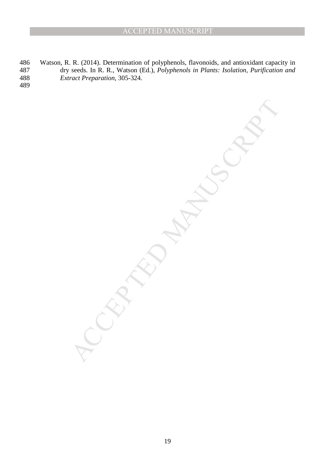MANUSCRIPT

486 Watson, R. R. (2014). Determination of polyphenols, flavonoids, and antioxidant capacity in 487 dry seeds. In R. R., Watson (Ed.), *Polyphenols in Plants: Isolation, Purification and*  488 *Extract Preparation*, 305-324.

489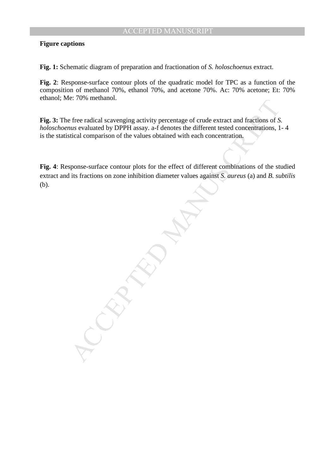# **Figure captions**

**Fig. 1:** Schematic diagram of preparation and fractionation of *S. holoschoenus* extract.

**Fig. 2**: Response-surface contour plots of the quadratic model for TPC as a function of the composition of methanol 70%, ethanol 70%, and acetone 70%. Ac: 70% acetone; Et: 70% ethanol; Me: 70% methanol.

**Fig. 3:** The free radical scavenging activity percentage of crude extract and fractions of *S. holoschoenus* evaluated by DPPH assay. a-f denotes the different tested concentrations, 1- 4 is the statistical comparison of the values obtained with each concentration.

Example of cruck extract and fractions of S<br>the ratio scheme and the ratio scheme of the value of p DPPH assay, a f denotes the different tested concentrations, 1<br>tical comparison of the values obtained with each concentra **Fig. 4**: Response-surface contour plots for the effect of different combinations of the studied extract and its fractions on zone inhibition diameter values against *S. aureus* (a) and *B. subtilis* (b).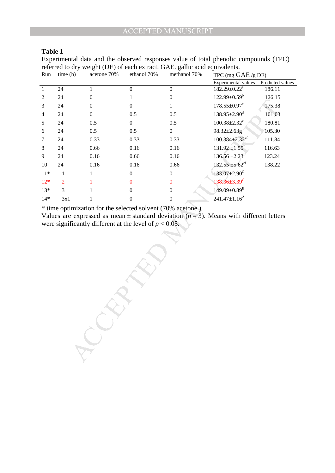Experimental data and the observed responses value of total phenolic compounds (TPC) referred to dry weight (DE) of each extract. GAE. gallic acid equivalents.

| Run            | time(h)        | acetone 70% | ethanol 70%    | methanol 70%     | TPC (mg $GAE/gDE$ )              |                  |
|----------------|----------------|-------------|----------------|------------------|----------------------------------|------------------|
|                |                |             |                |                  | Experimental values              | Predicted values |
| $\mathbf{1}$   | 24             |             | $\theta$       | 0                | $182.29 \pm 0.22^a$              | 186.11           |
| 2              | 24             | $\Omega$    |                | 0                | $122.99 \pm 0.59^b$              | 126.15           |
| 3              | 24             | $\theta$    | $\Omega$       |                  | $178.55 \pm 0.97$ <sup>c</sup>   | 175.38           |
| $\overline{4}$ | 24             | $\Omega$    | 0.5            | 0.5              | $138.95 \pm 2.90^{\mathrm{d}}$   | 101.03           |
| 5              | 24             | 0.5         | $\overline{0}$ | 0.5              | $100.38 \pm 2.32$ <sup>e</sup>   | 180.81           |
| 6              | 24             | 0.5         | 0.5            | $\boldsymbol{0}$ | $98.32 \pm 2.63$ g               | 105.30           |
| 7              | 24             | 0.33        | 0.33           | 0.33             | $100.384 \pm 2.32$ <sup>ef</sup> | 111.84           |
| 8              | 24             | 0.66        | 0.16           | 0.16             | $131.92 \pm 1.55$ <sup>f</sup>   | 116.63           |
| 9              | 24             | 0.16        | 0.66           | 0.16             | $136.56 \pm 2.23$                | 123.24           |
| 10             | 24             | 0.16        | 0.16           | 0.66             | $132.55 \pm 5.62$ <sup>ef</sup>  | 138.22           |
| $11*$          | 1              |             | $\mathbf{0}$   | $\theta$         | $133.07 \pm 2.90$ <sup>C</sup>   |                  |
| $12*$          | $\overline{2}$ |             | $\Omega$       | 0                | $138.36 \pm 3.39$ <sup>C</sup>   |                  |
| $13*$          | 3              |             | $\Omega$       | $\theta$         | $149.09 \pm 0.89^{\mathrm{B}}$   |                  |
| $14*$          | 3x1            |             | 0              | 0                | $241.47 \pm 1.16^{\text{A}}$     |                  |

\* time optimization for the selected solvent (70% acetone )

 $M$ 

Values are expressed as mean  $\pm$  standard deviation ( $n = 3$ ). Means with different letters were significantly different at the level of  $p < 0.05$ .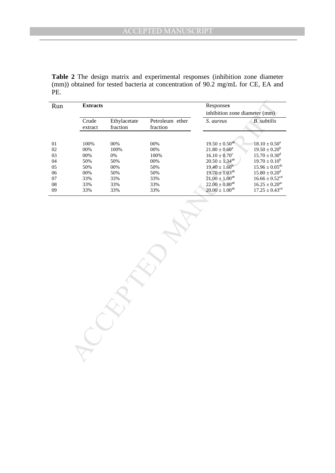**Table 2** The design matrix and experimental responses (inhibition zone diameter (mm)) obtained for tested bacteria at concentration of 90.2 mg/mL for CE, EA and PE.

| Run                                                              | <b>Extracts</b>                                                |                                                               |                                                          | Responses<br>inhibition zone diameter (mm)                                                                                                                                                  |                                                                                                                                                                                                                             |
|------------------------------------------------------------------|----------------------------------------------------------------|---------------------------------------------------------------|----------------------------------------------------------|---------------------------------------------------------------------------------------------------------------------------------------------------------------------------------------------|-----------------------------------------------------------------------------------------------------------------------------------------------------------------------------------------------------------------------------|
|                                                                  | Crude<br>extract                                               | Ethylacetate<br>fraction                                      | Petroleum ether<br>fraction                              | S. aureus                                                                                                                                                                                   | <b>B.</b> subtilis                                                                                                                                                                                                          |
| 01<br>$02\,$<br>03<br>04<br>05<br>$06\,$<br>$07\,$<br>${\bf 08}$ | 100%<br>$00\%$<br>$00\%$<br>50%<br>50%<br>$00\%$<br>33%<br>33% | $00\%$<br>100%<br>$0\%$<br>50%<br>$00\%$<br>50%<br>33%<br>33% | 00%<br>$00\%$<br>100%<br>00%<br>50%<br>50%<br>33%<br>33% | $19.50 \pm 0.50^{ab}$<br>$21.80 \pm 0.60^a$<br>$16.10 \pm 0.70^c$<br>$20.50 \pm 1.34^{ab}$<br>$19.40 \pm 1.60^b$<br>$19.70 \pm 1.03^{ab}$<br>$21.00 \pm 1.00^{ab}$<br>$22.00 \pm 0.80^{ab}$ | $18.10 \pm 0.50^a$<br>$19.50 \pm 0.20^b$<br>$15.70 \pm 0.30$ <sup>d</sup><br>$19.70 \pm 0.10^b$<br>$15.96 \pm 0.05$ <sup>dc</sup><br>$15.80 \pm 0.20^d$<br>$16.66 \pm 0.52$ <sup>cd</sup><br>$16.25 \pm 0.20$ <sup>ac</sup> |
| 09                                                               | 33%                                                            | 33%                                                           | 33%                                                      | $20.00 \pm 1.00^{ab}$                                                                                                                                                                       | $17.25 \pm 0.43^{cd}$                                                                                                                                                                                                       |
|                                                                  |                                                                |                                                               |                                                          |                                                                                                                                                                                             |                                                                                                                                                                                                                             |
|                                                                  |                                                                |                                                               |                                                          |                                                                                                                                                                                             |                                                                                                                                                                                                                             |
|                                                                  |                                                                |                                                               |                                                          |                                                                                                                                                                                             |                                                                                                                                                                                                                             |
|                                                                  |                                                                |                                                               |                                                          |                                                                                                                                                                                             |                                                                                                                                                                                                                             |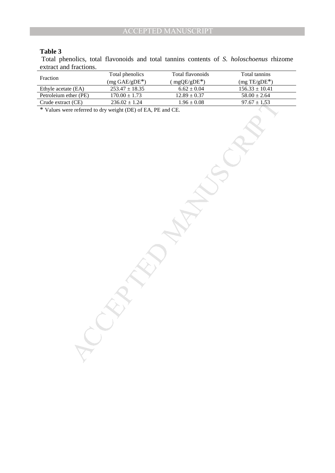Total phenolics, total flavonoids and total tannins contents of *S. holoschoenus* rhizome extract and fractions.

| Fraction              | Total phenolics                                             | Total flavonoids | Total tannins      |
|-----------------------|-------------------------------------------------------------|------------------|--------------------|
|                       | $(mg \text{ GAE/gDE*})$                                     | $(mgQE/gDE*)$    | $(mg TE/gDE*)$     |
| Ethyle acetate (EA)   | $253.47 \pm 18.35$                                          | $6.62 \pm 0.04$  | $156.33 \pm 10.41$ |
| Petroleium ether (PE) | $170.00 \pm 1.73$                                           | $12.89 \pm 0.37$ | $58.00 \pm 2.64$   |
| Crude extract (CE)    | $236.02 \pm 1.24$                                           | $1.96 \pm 0.08$  | $97.67 \pm 1.53$   |
|                       | * Values were referred to dry weight (DE) of EA, PE and CE. |                  |                    |
|                       |                                                             |                  |                    |
|                       |                                                             |                  |                    |
|                       |                                                             |                  |                    |
|                       |                                                             |                  |                    |
|                       |                                                             |                  |                    |
|                       |                                                             |                  |                    |
|                       |                                                             |                  |                    |
|                       |                                                             |                  |                    |
|                       |                                                             |                  |                    |
|                       |                                                             |                  |                    |
|                       |                                                             |                  |                    |
|                       |                                                             |                  |                    |
|                       |                                                             |                  |                    |
|                       |                                                             |                  |                    |
|                       |                                                             |                  |                    |
|                       |                                                             |                  |                    |
|                       |                                                             |                  |                    |
|                       |                                                             |                  |                    |
|                       |                                                             |                  |                    |
|                       |                                                             |                  |                    |
|                       |                                                             |                  |                    |
|                       |                                                             |                  |                    |
|                       |                                                             |                  |                    |
|                       |                                                             |                  |                    |
|                       |                                                             |                  |                    |
|                       |                                                             |                  |                    |
|                       |                                                             |                  |                    |
|                       |                                                             |                  |                    |
|                       |                                                             |                  |                    |
|                       |                                                             |                  |                    |
|                       |                                                             |                  |                    |
|                       |                                                             |                  |                    |
|                       |                                                             |                  |                    |
|                       |                                                             |                  |                    |
|                       |                                                             |                  |                    |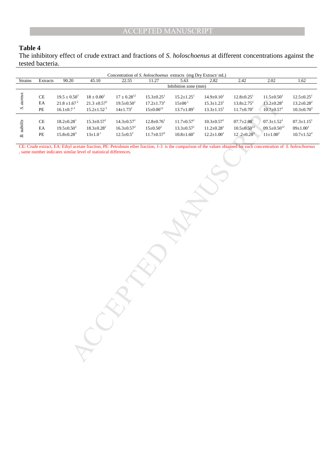The inhibitory effect of crude extract and fractions of *S. holoschoenus* at different concentrations against the tested bacteria.

|                    |                            |                              |                                                                   |                              |                              | Concentration of S. holoschoenus extracts (mg Dry Extract/mL) |                              |                                                                                                                                                                     |                              |                              |
|--------------------|----------------------------|------------------------------|-------------------------------------------------------------------|------------------------------|------------------------------|---------------------------------------------------------------|------------------------------|---------------------------------------------------------------------------------------------------------------------------------------------------------------------|------------------------------|------------------------------|
| Strains            | Extracts                   | 90.20                        | 45.10                                                             | 22.55                        | 11.27                        | 5.63                                                          | 2.82                         | 2.42                                                                                                                                                                | 2.02                         | 1.62                         |
|                    |                            |                              |                                                                   |                              |                              | Inhibition zone (mm)                                          |                              |                                                                                                                                                                     |                              |                              |
|                    | $\rm CE$                   | $19.5 \pm 0.50^1$            | $18\pm0.00^1$                                                     | $17\pm0.28^{12}$             | $15.3 \pm 0.25$ <sup>1</sup> | $15.2 \pm 1.25^1$                                             | $14.9 \pm 0.10^1$            | $12.8 \pm 0.25$ <sup>1</sup>                                                                                                                                        | $11.5 \pm 0.50$ <sup>1</sup> | $12.5 \pm 0.25$ <sup>1</sup> |
| S. aureus          | $\mathop{\rm EA}\nolimits$ | $21.8\pm\!1.67^{\,2}$        | $21.3\pm\!0.57^2$                                                 | $19.5\pm0.50^1$              | $17.2 \pm 1.73^2$            | $15\pm00^1$                                                   | $15.3{\pm}1.23^1$            | $13.8 \pm 2.75^2$                                                                                                                                                   | $13.2 \pm 0.28^2$            | $13.2 \pm 0.28^2$            |
|                    | $PE$                       | $16.1{\pm}0.7$ $^3$          | $15.2 \pm 1.52^3$                                                 | $14 \pm 1.73^2$              | $15{\pm}0.00^{12}$           | $13.7 \pm 1.89^1$                                             | $13.3 \pm 1.15^2$            | $11.7 \pm 0.70$ <sup>1</sup>                                                                                                                                        | $10.7 \pm 0.57$ <sup>1</sup> | $10.3 \pm 0.70^3$            |
|                    |                            |                              |                                                                   |                              |                              |                                                               |                              |                                                                                                                                                                     |                              |                              |
|                    | $\operatorname{CE}$        | $18.2 \pm 0.28$ <sup>1</sup> | $15.3 \pm 0.57$ <sup>1</sup>                                      | $14.3 \pm 0.57$ <sup>1</sup> | $12.8 \pm 0.76$ <sup>1</sup> | $11.7 \pm 0.57$ <sup>1</sup>                                  | $10.3 \pm 0.57$ <sup>1</sup> | $07.7 \pm 2.88$ <sup>1</sup>                                                                                                                                        | $07.3 \pm 1.52^1$            | $07.3 \pm 1.15^1$            |
|                    | $\mathop{\rm EA}\nolimits$ | $19.5 \pm 0.50^2$            | $18.3{\pm}0.28^2$                                                 | $16.3 \pm 0.57^2$            | $15 \pm 0.50^2$              | $13.3{\pm}0.57^1$                                             | $11.2{\pm}0.28^1$            | $10.5 \pm 0.50^{12}$                                                                                                                                                | $09.5 \pm 0.50^{12}$         | $09{\pm}1.00^1$              |
| <b>B.</b> subtilis | $\rm PE$                   | $15.8 \pm 0.28^3$            | $13{\pm}1.0^1$                                                    | $12.5 \pm 0.5^3$             | $11.7 \pm 0.57^3$            | $10.8{\pm}1.60^1$                                             | $12.2 \pm 1.00^1$            | $12.2 \pm 0.28^3$                                                                                                                                                   | $11 \pm 1.00^2$              | $10.7{\pm}1.52^2$            |
|                    |                            |                              |                                                                   |                              |                              |                                                               |                              |                                                                                                                                                                     |                              |                              |
|                    |                            |                              |                                                                   |                              |                              |                                                               |                              | CE: Crude extract, EA: Ethyl acetate fraction, PE: Petroleum ether fraction, 1-3 is the comparison of the values obtained for each concentration of S. holoschoenus |                              |                              |
|                    |                            |                              | , same number indicates similar level of statistical differences. |                              |                              |                                                               |                              |                                                                                                                                                                     |                              |                              |
|                    |                            |                              |                                                                   |                              |                              |                                                               |                              |                                                                                                                                                                     |                              |                              |
|                    |                            |                              |                                                                   |                              |                              |                                                               |                              |                                                                                                                                                                     |                              |                              |
|                    |                            |                              |                                                                   |                              |                              |                                                               |                              |                                                                                                                                                                     |                              |                              |
|                    |                            |                              |                                                                   |                              |                              |                                                               |                              |                                                                                                                                                                     |                              |                              |
|                    |                            |                              |                                                                   |                              |                              |                                                               |                              |                                                                                                                                                                     |                              |                              |
|                    |                            |                              |                                                                   |                              |                              |                                                               |                              |                                                                                                                                                                     |                              |                              |
|                    |                            |                              |                                                                   |                              |                              |                                                               |                              |                                                                                                                                                                     |                              |                              |
|                    |                            |                              |                                                                   |                              |                              |                                                               |                              |                                                                                                                                                                     |                              |                              |
|                    |                            |                              |                                                                   |                              |                              |                                                               |                              |                                                                                                                                                                     |                              |                              |
|                    |                            |                              |                                                                   |                              |                              |                                                               |                              |                                                                                                                                                                     |                              |                              |
|                    |                            |                              |                                                                   |                              |                              |                                                               |                              |                                                                                                                                                                     |                              |                              |
|                    |                            |                              |                                                                   |                              |                              |                                                               |                              |                                                                                                                                                                     |                              |                              |
|                    |                            |                              |                                                                   |                              |                              |                                                               |                              |                                                                                                                                                                     |                              |                              |
|                    |                            |                              |                                                                   |                              |                              |                                                               |                              |                                                                                                                                                                     |                              |                              |
|                    |                            |                              |                                                                   |                              |                              |                                                               |                              |                                                                                                                                                                     |                              |                              |
|                    |                            |                              |                                                                   |                              |                              |                                                               |                              |                                                                                                                                                                     |                              |                              |
|                    |                            |                              |                                                                   |                              |                              |                                                               |                              |                                                                                                                                                                     |                              |                              |
|                    |                            |                              |                                                                   |                              |                              |                                                               |                              |                                                                                                                                                                     |                              |                              |
|                    |                            |                              |                                                                   |                              |                              |                                                               |                              |                                                                                                                                                                     |                              |                              |
|                    |                            |                              |                                                                   |                              |                              |                                                               |                              |                                                                                                                                                                     |                              |                              |
|                    |                            |                              |                                                                   |                              |                              |                                                               |                              |                                                                                                                                                                     |                              |                              |
|                    |                            |                              |                                                                   |                              |                              |                                                               |                              |                                                                                                                                                                     |                              |                              |
|                    |                            |                              |                                                                   |                              |                              |                                                               |                              |                                                                                                                                                                     |                              |                              |
|                    |                            |                              |                                                                   |                              |                              |                                                               |                              |                                                                                                                                                                     |                              |                              |
|                    |                            |                              |                                                                   |                              |                              |                                                               |                              |                                                                                                                                                                     |                              |                              |
|                    |                            |                              |                                                                   |                              |                              |                                                               |                              |                                                                                                                                                                     |                              |                              |
|                    |                            |                              |                                                                   |                              |                              |                                                               |                              |                                                                                                                                                                     |                              |                              |
|                    |                            |                              |                                                                   |                              |                              |                                                               |                              |                                                                                                                                                                     |                              |                              |
|                    |                            |                              |                                                                   |                              |                              |                                                               |                              |                                                                                                                                                                     |                              |                              |
|                    |                            |                              |                                                                   |                              |                              |                                                               |                              |                                                                                                                                                                     |                              |                              |
|                    |                            |                              |                                                                   |                              |                              |                                                               |                              |                                                                                                                                                                     |                              |                              |
|                    |                            |                              |                                                                   |                              |                              |                                                               |                              |                                                                                                                                                                     |                              |                              |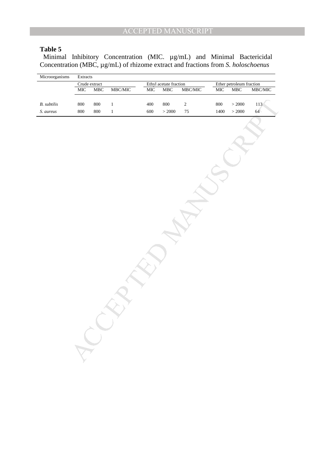Minimal Inhibitory Concentration (MIC.  $\mu$ g/mL) and Minimal Bactericidal Concentration (MBC, µg/mL) of rhizome extract and fractions from *S. holoschoenus*

| Microorganisms     | Extracts      |             |               |                        |         |               |                          |           |                 |
|--------------------|---------------|-------------|---------------|------------------------|---------|---------------|--------------------------|-----------|-----------------|
|                    | Crude extract |             |               | Ethyl acetate fraction |         |               | Ether petroleum fraction |           |                 |
|                    | MIC           | ${\rm MBC}$ | $\rm MBC/MIC$ | MIC                    | MBC     | $\rm MBC/MIC$ | $\overline{\text{MIC}}$  | MBC       | MBC/MIC         |
|                    |               |             |               |                        |         |               |                          |           |                 |
| <b>B.</b> subtilis | $800\,$       | $800\,$     | $\,1\,$       | 400                    | $800\,$ | $\sqrt{2}$    | $800\,$                  | $>2000\,$ | 113             |
| S. aureus          | 800           | 800         | $\,1$         | 600                    | > 2000  | $75\,$        | 1400                     | $>2000$   | 64 <sup>°</sup> |
|                    |               |             |               |                        |         |               |                          |           |                 |
|                    |               |             |               |                        |         |               |                          |           |                 |
|                    |               |             |               |                        |         |               |                          |           |                 |
|                    |               |             |               |                        |         |               |                          |           |                 |
|                    |               |             |               |                        |         |               |                          |           |                 |
|                    |               |             |               |                        |         |               |                          |           |                 |
|                    |               |             |               |                        |         |               |                          |           |                 |
|                    |               |             |               |                        |         |               |                          |           |                 |
|                    |               |             |               |                        |         |               |                          |           |                 |
|                    |               |             |               |                        |         |               |                          |           |                 |
|                    |               |             |               |                        |         |               |                          |           |                 |
|                    |               |             |               |                        |         |               |                          |           |                 |
|                    |               |             |               |                        |         |               |                          |           |                 |
|                    |               |             |               |                        |         |               |                          |           |                 |
|                    |               |             |               |                        |         |               |                          |           |                 |
|                    |               |             |               |                        |         |               |                          |           |                 |
|                    |               |             |               |                        |         |               |                          |           |                 |
|                    |               |             |               |                        |         |               |                          |           |                 |
|                    |               |             |               |                        |         |               |                          |           |                 |
|                    |               |             |               |                        |         |               |                          |           |                 |
|                    |               |             |               |                        |         |               |                          |           |                 |
|                    |               |             |               |                        |         |               |                          |           |                 |
|                    |               |             |               |                        |         |               |                          |           |                 |
|                    |               |             |               |                        |         |               |                          |           |                 |
|                    |               |             |               |                        |         |               |                          |           |                 |
|                    |               |             |               |                        |         |               |                          |           |                 |
|                    |               |             |               |                        |         |               |                          |           |                 |
|                    |               |             |               |                        |         |               |                          |           |                 |
|                    |               |             |               |                        |         |               |                          |           |                 |
|                    |               |             |               |                        |         |               |                          |           |                 |
|                    |               |             |               |                        |         |               |                          |           |                 |
|                    |               |             |               |                        |         |               |                          |           |                 |
|                    |               |             |               |                        |         |               |                          |           |                 |
|                    |               |             |               |                        |         |               |                          |           |                 |
|                    |               |             |               |                        |         |               |                          |           |                 |
|                    |               |             |               |                        |         |               |                          |           |                 |
|                    |               |             |               |                        |         |               |                          |           |                 |
|                    |               |             |               |                        |         |               |                          |           |                 |
|                    |               |             |               |                        |         |               |                          |           |                 |
|                    |               |             |               |                        |         |               |                          |           |                 |
|                    |               |             |               |                        |         |               |                          |           |                 |
|                    |               |             |               |                        |         |               |                          |           |                 |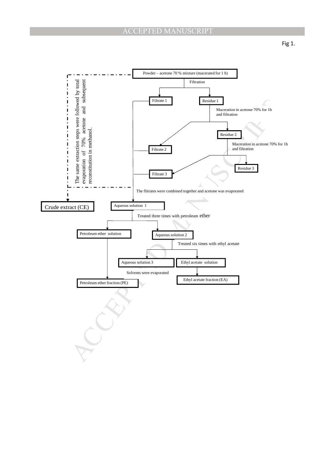

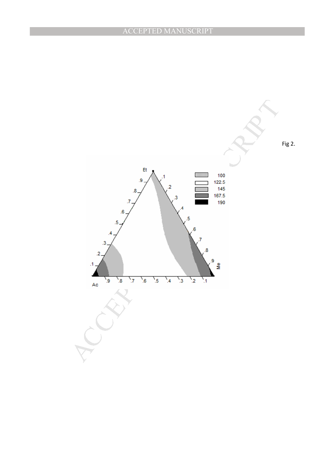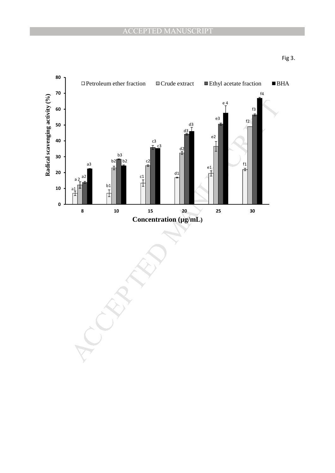

Fig 3.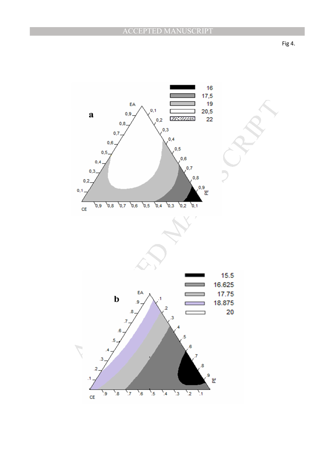Fig 4.